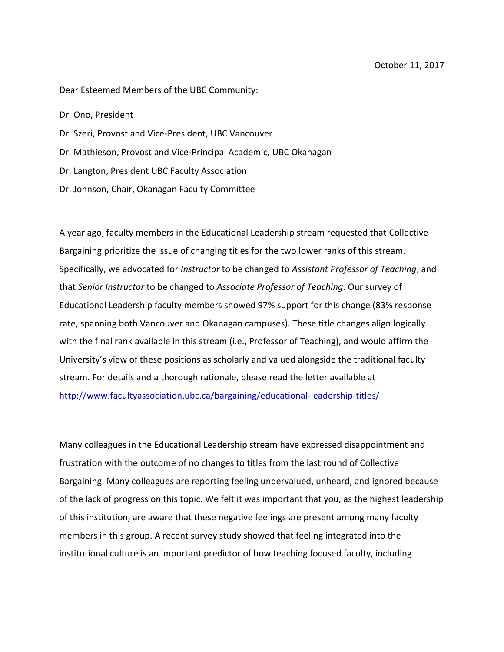Dear Esteemed Members of the UBC Community:

Dr. Ono, President

- Dr. Szeri, Provost and Vice-President, UBC Vancouver
- Dr. Mathieson, Provost and Vice-Principal Academic, UBC Okanagan
- Dr. Langton, President UBC Faculty Association
- Dr. Johnson, Chair, Okanagan Faculty Committee

A year ago, faculty members in the Educational Leadership stream requested that Collective Bargaining prioritize the issue of changing titles for the two lower ranks of this stream. Specifically, we advocated for *Instructor* to be changed to *Assistant Professor of Teaching*, and that *Senior Instructor* to be changed to *Associate Professor of Teaching*. Our survey of Educational Leadership faculty members showed 97% support for this change (83% response rate, spanning both Vancouver and Okanagan campuses). These title changes align logically with the final rank available in this stream (i.e., Professor of Teaching), and would affirm the University's view of these positions as scholarly and valued alongside the traditional faculty stream. For details and a thorough rationale, please read the letter available at <http://www.facultyassociation.ubc.ca/bargaining/educational-leadership-titles/>

Many colleagues in the Educational Leadership stream have expressed disappointment and frustration with the outcome of no changes to titles from the last round of Collective Bargaining. Many colleagues are reporting feeling undervalued, unheard, and ignored because of the lack of progress on this topic. We felt it was important that you, as the highest leadership of this institution, are aware that these negative feelings are present among many faculty members in this group. A recent survey study showed that feeling integrated into the institutional culture is an important predictor of how teaching focused faculty, including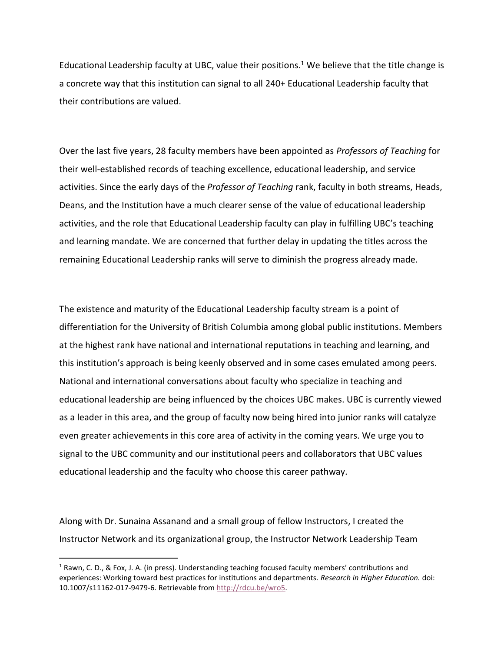Educational Leadership faculty at UBC, value their positions.<sup>1</sup> We believe that the title change is a concrete way that this institution can signal to all 240+ Educational Leadership faculty that their contributions are valued.

Over the last five years, 28 faculty members have been appointed as *Professors of Teaching* for their well-established records of teaching excellence, educational leadership, and service activities. Since the early days of the *Professor of Teaching* rank, faculty in both streams, Heads, Deans, and the Institution have a much clearer sense of the value of educational leadership activities, and the role that Educational Leadership faculty can play in fulfilling UBC's teaching and learning mandate. We are concerned that further delay in updating the titles across the remaining Educational Leadership ranks will serve to diminish the progress already made.

The existence and maturity of the Educational Leadership faculty stream is a point of differentiation for the University of British Columbia among global public institutions. Members at the highest rank have national and international reputations in teaching and learning, and this institution's approach is being keenly observed and in some cases emulated among peers. National and international conversations about faculty who specialize in teaching and educational leadership are being influenced by the choices UBC makes. UBC is currently viewed as a leader in this area, and the group of faculty now being hired into junior ranks will catalyze even greater achievements in this core area of activity in the coming years. We urge you to signal to the UBC community and our institutional peers and collaborators that UBC values educational leadership and the faculty who choose this career pathway.

Along with Dr. Sunaina Assanand and a small group of fellow Instructors, I created the Instructor Network and its organizational group, the Instructor Network Leadership Team

 $\overline{\phantom{a}}$ 

 $1$  Rawn, C. D., & Fox, J. A. (in press). Understanding teaching focused faculty members' contributions and experiences: Working toward best practices for institutions and departments. *Research in Higher Education.* doi: 10.1007/s11162-017-9479-6. Retrievable from [http://rdcu.be/wro5.](http://rdcu.be/wro5)